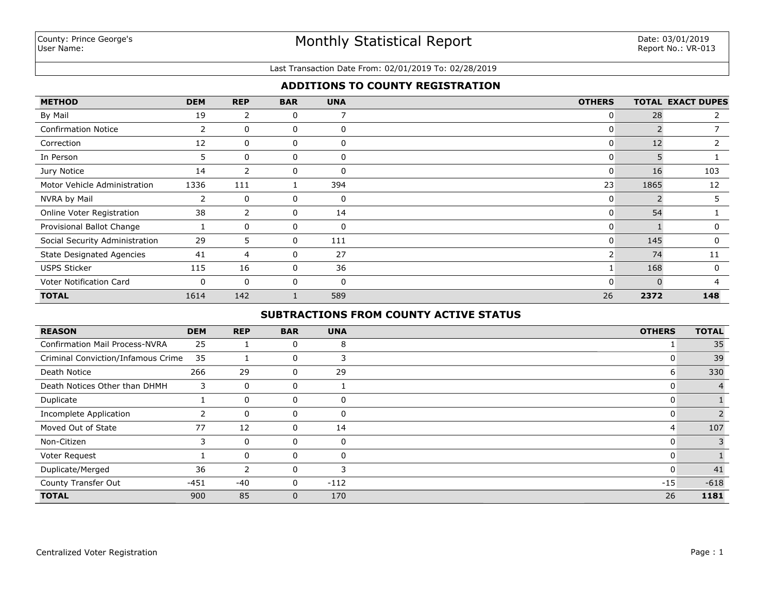# **ADDITIONS TO COUNTY REGISTRATION**

| <b>METHOD</b>                    | <b>DEM</b> | <b>REP</b>     | <b>BAR</b>   | <b>UNA</b>  | <b>OTHERS</b> |      | <b>TOTAL EXACT DUPES</b> |
|----------------------------------|------------|----------------|--------------|-------------|---------------|------|--------------------------|
| By Mail                          | 19         | $\overline{2}$ | 0            |             | 0             | 28   |                          |
| <b>Confirmation Notice</b>       | 2          | 0              | 0            | $\mathbf 0$ | 0             |      |                          |
| Correction                       | 12         | 0              | 0            | 0           | 0             | 12   |                          |
| In Person                        | 5          | 0              | 0            | 0           | 0             |      |                          |
| Jury Notice                      | 14         | 2              | 0            | 0           | 0             | 16   | 103                      |
| Motor Vehicle Administration     | 1336       | 111            |              | 394         | 23            | 1865 | 12                       |
| NVRA by Mail                     | 2          | 0              | 0            | 0           | 0             |      |                          |
| Online Voter Registration        | 38         | $\overline{2}$ | 0            | 14          | 0             | 54   |                          |
| Provisional Ballot Change        |            | $\mathbf{0}$   | 0            | $\mathbf 0$ | 0             |      | 0                        |
| Social Security Administration   | 29         | 5              | $\mathbf{0}$ | 111         | 0             | 145  | $\Omega$                 |
| <b>State Designated Agencies</b> | 41         | 4              | 0            | 27          | $\mathsf{2}$  | 74   | 11                       |
| <b>USPS Sticker</b>              | 115        | 16             | 0            | 36          |               | 168  | $\Omega$                 |
| Voter Notification Card          | 0          | $\mathbf{0}$   | 0            | $\mathbf 0$ | 0             |      | Δ                        |
| <b>TOTAL</b>                     | 1614       | 142            |              | 589         | 26            | 2372 | 148                      |

# **SUBTRACTIONS FROM COUNTY ACTIVE STATUS**

| <b>REASON</b>                         | <b>DEM</b> | <b>REP</b>   | <b>BAR</b>     | <b>UNA</b> | <b>OTHERS</b> | <b>TOTAL</b> |
|---------------------------------------|------------|--------------|----------------|------------|---------------|--------------|
| <b>Confirmation Mail Process-NVRA</b> | 25         |              | 0              | 8          |               | 35           |
| Criminal Conviction/Infamous Crime    | 35         |              | 0              | 3          | 0             | 39           |
| Death Notice                          | 266        | 29           | $\overline{0}$ | 29         | 6             | 330          |
| Death Notices Other than DHMH         | 3          | $\mathbf{0}$ | $\mathbf 0$    |            | 0             |              |
| Duplicate                             |            | $\mathbf{0}$ | 0              | 0          | 0             |              |
| <b>Incomplete Application</b>         |            | $\mathbf{0}$ | 0              | 0          | 0             |              |
| Moved Out of State                    | 77         | 12           | 0              | 14         | 4             | 107          |
| Non-Citizen                           | 3          | $\mathbf 0$  | 0              | 0          | 0             |              |
| Voter Request                         |            | $\mathbf 0$  | 0              | $\Omega$   | 0             |              |
| Duplicate/Merged                      | 36         | 2            | 0              | 3          | 0             | 41           |
| County Transfer Out                   | $-451$     | -40          | $\mathbf{0}$   | $-112$     | $-15$         | $-618$       |
| <b>TOTAL</b>                          | 900        | 85           | 0              | 170        | 26            | 1181         |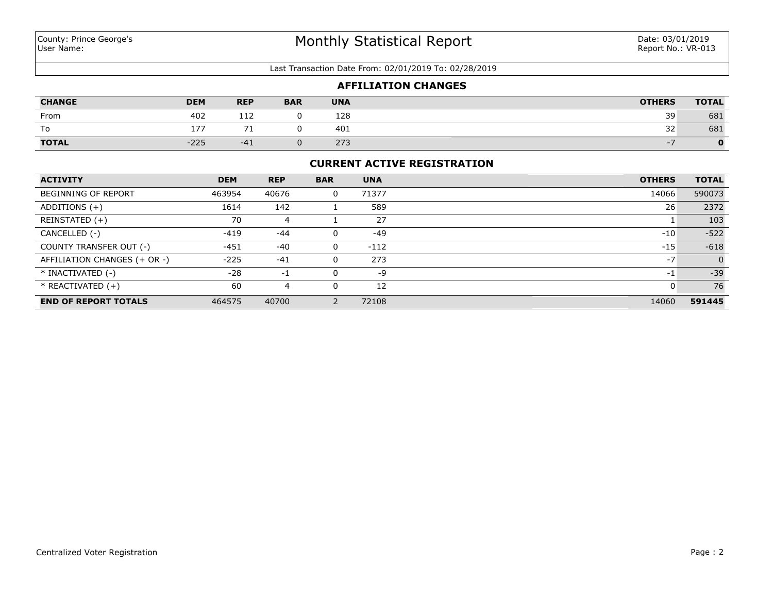| <b>AFFILIATION CHANGES</b> |            |            |            |            |               |              |  |  |
|----------------------------|------------|------------|------------|------------|---------------|--------------|--|--|
| <b>CHANGE</b>              | <b>DEM</b> | <b>REP</b> | <b>BAR</b> | <b>UNA</b> | <b>OTHERS</b> | <b>TOTAL</b> |  |  |
| From                       | 402        | 112        |            | 128        | 39            | 681          |  |  |
| To                         | 177        |            |            | 401        | 32            | 681          |  |  |
| <b>TOTAL</b>               | $-225$     | $-41$      |            | 273        |               |              |  |  |

## **CURRENT ACTIVE REGISTRATION**

| <b>ACTIVITY</b>              | <b>DEM</b> | <b>REP</b> | <b>BAR</b> | <b>UNA</b> | <b>OTHERS</b> | <b>TOTAL</b> |
|------------------------------|------------|------------|------------|------------|---------------|--------------|
| <b>BEGINNING OF REPORT</b>   | 463954     | 40676      |            | 71377      | 14066         | 590073       |
| ADDITIONS $(+)$              | 1614       | 142        |            | 589        | 26            | 2372         |
| REINSTATED (+)               | 70         | 4          |            | 27         |               | 103          |
| CANCELLED (-)                | $-419$     | $-44$      |            | $-49$      | $-10$         | $-522$       |
| COUNTY TRANSFER OUT (-)      | $-451$     | $-40$      |            | $-112$     | $-15$         | $-618$       |
| AFFILIATION CHANGES (+ OR -) | $-225$     | $-41$      |            | 273        | $-7$          | $\mathbf 0$  |
| * INACTIVATED (-)            | $-28$      | -1         |            | -9         | -1            | $-39$        |
| $*$ REACTIVATED $(+)$        | 60         |            |            | 12         | U             | 76           |
| <b>END OF REPORT TOTALS</b>  | 464575     | 40700      |            | 72108      | 14060         | 591445       |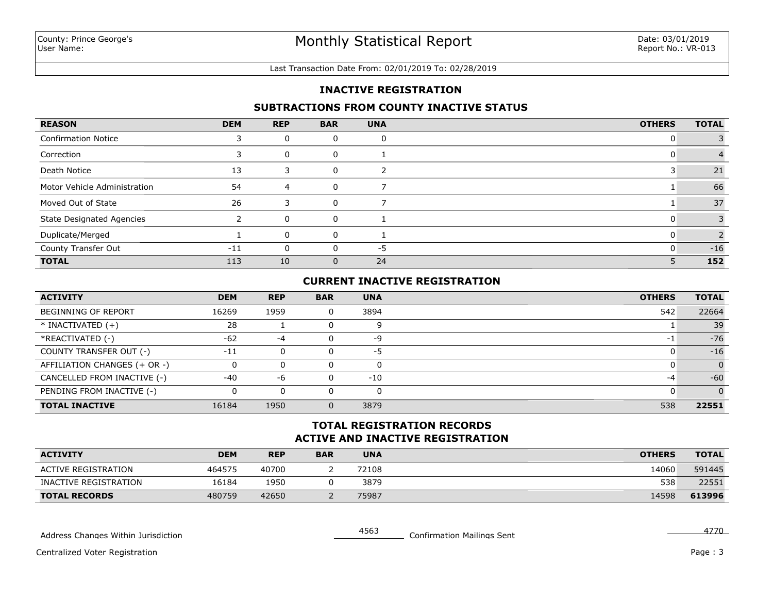### **INACTIVE REGISTRATION**

### **SUBTRACTIONS FROM COUNTY INACTIVE STATUS**

| <b>REASON</b>                    | <b>DEM</b> | <b>REP</b> | <b>BAR</b> | <b>UNA</b> | <b>OTHERS</b> | <b>TOTAL</b> |
|----------------------------------|------------|------------|------------|------------|---------------|--------------|
| <b>Confirmation Notice</b>       |            | U          | 0          | 0          |               |              |
| Correction                       |            | 0          | 0          |            |               |              |
| Death Notice                     | 13         |            | 0          |            |               | 21           |
| Motor Vehicle Administration     | 54         | 4          | 0          |            |               | 66           |
| Moved Out of State               | 26         |            | $\Omega$   |            |               | 37           |
| <b>State Designated Agencies</b> |            | 0          | 0          |            |               |              |
| Duplicate/Merged                 |            | 0          | 0          |            |               |              |
| County Transfer Out              | $-11$      |            | $\Omega$   | -5         |               | $-16$        |
| <b>TOTAL</b>                     | 113        | 10         | $\Omega$   | 24         | 5             | 152          |

## **CURRENT INACTIVE REGISTRATION**

| <b>ACTIVITY</b>              | <b>DEM</b> | <b>REP</b> | <b>BAR</b> | <b>UNA</b> | <b>OTHERS</b> | <b>TOTAL</b> |
|------------------------------|------------|------------|------------|------------|---------------|--------------|
| <b>BEGINNING OF REPORT</b>   | 16269      | 1959       |            | 3894       | 542           | 22664        |
| $*$ INACTIVATED $(+)$        | 28         |            |            | q          |               | 39           |
| *REACTIVATED (-)             | $-62$      | -4         |            | -9         |               | $-76$        |
| COUNTY TRANSFER OUT (-)      | $-11$      | $\Omega$   |            | -5         |               | $-16$        |
| AFFILIATION CHANGES (+ OR -) | 0          | 0          |            | 0          |               | $\Omega$     |
| CANCELLED FROM INACTIVE (-)  | $-40$      | -6         |            | $-10$      | -4            | $-60$        |
| PENDING FROM INACTIVE (-)    |            | 0          |            |            |               | $\Omega$     |
| <b>TOTAL INACTIVE</b>        | 16184      | 1950       |            | 3879       | 538           | 22551        |

### **ACTIVE AND INACTIVE REGISTRATION TOTAL REGISTRATION RECORDS**

| <b>ACTIVITY</b>            | DEM    | <b>REP</b> | <b>BAR</b> | <b>UNA</b> | <b>OTHERS</b> | <b>TOTAL</b> |
|----------------------------|--------|------------|------------|------------|---------------|--------------|
| <b>ACTIVE REGISTRATION</b> | 464575 | 40700      |            | 72108      | 14060         | 591445       |
| INACTIVE REGISTRATION      | 16184  | 1950       |            | 3879       | 538           | 22551        |
| <b>TOTAL RECORDS</b>       | 480759 | 42650      |            | 75987      | 14598         | 613996       |

Address Changes Within Jurisdiction Number 2008 1990 1991 4563 Confirmation Mailings Sent 4770

Centralized Voter Registration

Page: 3